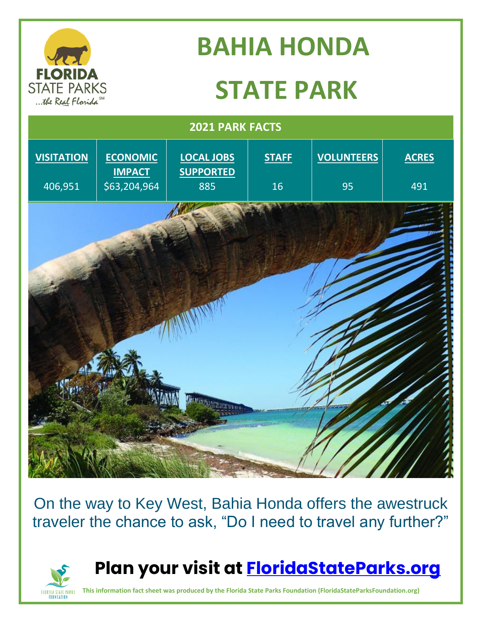

On the way to Key West, Bahia Honda offers the awestruck traveler the chance to ask, "Do I need to travel any further?"



### **Plan your visit at [FloridaStateParks.org](http://www.floridastateparks.org/)**

**This information fact sheet was produced by the Florida State Parks Foundation (FloridaStateParksFoundation.org)**